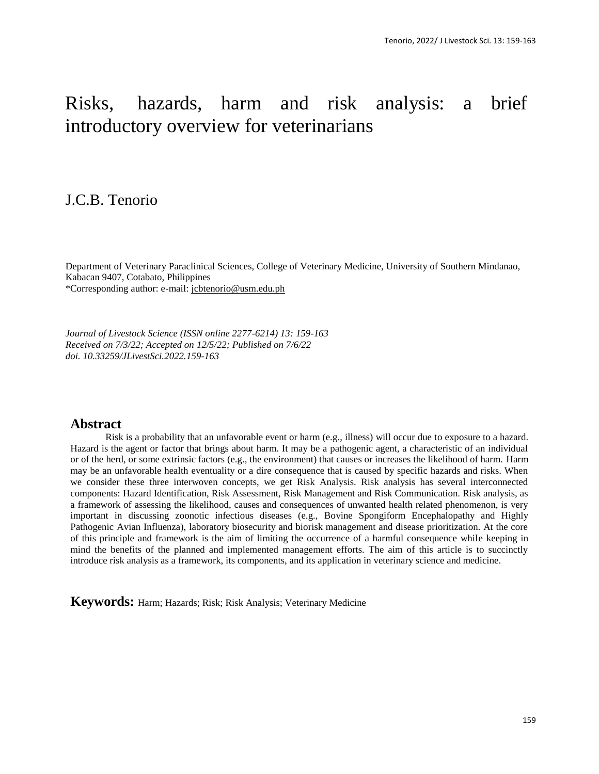# Risks, hazards, harm and risk analysis: a brief introductory overview for veterinarians

## J.C.B. Tenorio

Department of Veterinary Paraclinical Sciences, College of Veterinary Medicine, University of Southern Mindanao, Kabacan 9407, Cotabato, Philippines \*Corresponding author: e-mail: [jcbtenorio@usm.edu.ph](mailto:jcbtenorio@usm.edu.ph)

*Journal of Livestock Science (ISSN online 2277-6214) 13: 159-163 Received on 7/3/22; Accepted on 12/5/22; Published on 7/6/22 doi. 10.33259/JLivestSci.2022.159-163*

## **Abstract**

Risk is a probability that an unfavorable event or harm (e.g., illness) will occur due to exposure to a hazard. Hazard is the agent or factor that brings about harm. It may be a pathogenic agent, a characteristic of an individual or of the herd, or some extrinsic factors (e.g., the environment) that causes or increases the likelihood of harm. Harm may be an unfavorable health eventuality or a dire consequence that is caused by specific hazards and risks. When we consider these three interwoven concepts, we get Risk Analysis. Risk analysis has several interconnected components: Hazard Identification, Risk Assessment, Risk Management and Risk Communication. Risk analysis, as a framework of assessing the likelihood, causes and consequences of unwanted health related phenomenon, is very important in discussing zoonotic infectious diseases (e.g., Bovine Spongiform Encephalopathy and Highly Pathogenic Avian Influenza), laboratory biosecurity and biorisk management and disease prioritization. At the core of this principle and framework is the aim of limiting the occurrence of a harmful consequence while keeping in mind the benefits of the planned and implemented management efforts. The aim of this article is to succinctly introduce risk analysis as a framework, its components, and its application in veterinary science and medicine.

**Keywords:** Harm; Hazards; Risk; Risk Analysis; Veterinary Medicine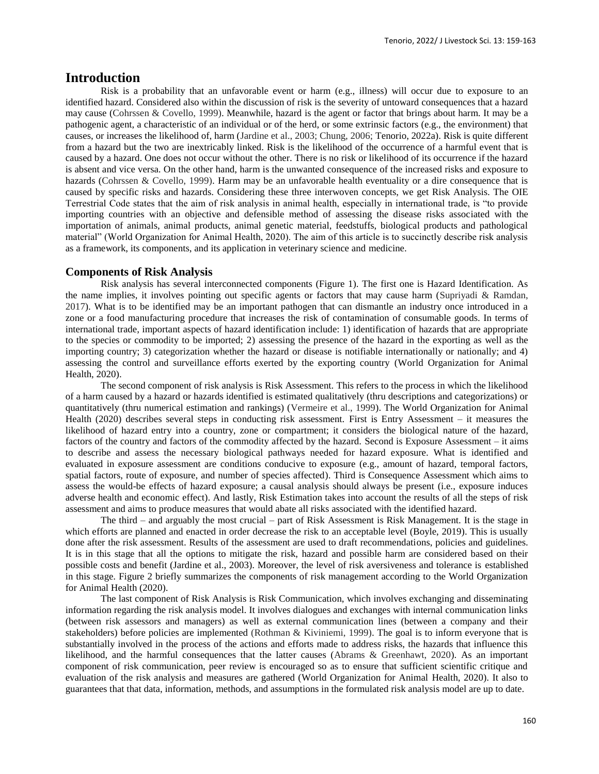### **Introduction**

Risk is a probability that an unfavorable event or harm (e.g., illness) will occur due to exposure to an identified hazard. Considered also within the discussion of risk is the severity of untoward consequences that a hazard may cause (Cohrssen & Covello, 1999). Meanwhile, hazard is the agent or factor that brings about harm. It may be a pathogenic agent, a characteristic of an individual or of the herd, or some extrinsic factors (e.g., the environment) that causes, or increases the likelihood of, harm (Jardine et al., 2003; Chung, 2006; Tenorio, 2022a). Risk is quite different from a hazard but the two are inextricably linked. Risk is the likelihood of the occurrence of a harmful event that is caused by a hazard. One does not occur without the other. There is no risk or likelihood of its occurrence if the hazard is absent and vice versa. On the other hand, harm is the unwanted consequence of the increased risks and exposure to hazards (Cohrssen & Covello, 1999). Harm may be an unfavorable health eventuality or a dire consequence that is caused by specific risks and hazards. Considering these three interwoven concepts, we get Risk Analysis. The OIE Terrestrial Code states that the aim of risk analysis in animal health, especially in international trade, is "to provide importing countries with an objective and defensible method of assessing the disease risks associated with the importation of animals, animal products, animal genetic material, feedstuffs, biological products and pathological material" (World Organization for Animal Health, 2020). The aim of this article is to succinctly describe risk analysis as a framework, its components, and its application in veterinary science and medicine.

#### **Components of Risk Analysis**

Risk analysis has several interconnected components (Figure 1). The first one is Hazard Identification. As the name implies, it involves pointing out specific agents or factors that may cause harm (Supriyadi & Ramdan, 2017). What is to be identified may be an important pathogen that can dismantle an industry once introduced in a zone or a food manufacturing procedure that increases the risk of contamination of consumable goods. In terms of international trade, important aspects of hazard identification include: 1) identification of hazards that are appropriate to the species or commodity to be imported; 2) assessing the presence of the hazard in the exporting as well as the importing country; 3) categorization whether the hazard or disease is notifiable internationally or nationally; and 4) assessing the control and surveillance efforts exerted by the exporting country (World Organization for Animal Health, 2020).

The second component of risk analysis is Risk Assessment. This refers to the process in which the likelihood of a harm caused by a hazard or hazards identified is estimated qualitatively (thru descriptions and categorizations) or quantitatively (thru numerical estimation and rankings) (Vermeire et al., 1999). The World Organization for Animal Health (2020) describes several steps in conducting risk assessment. First is Entry Assessment – it measures the likelihood of hazard entry into a country, zone or compartment; it considers the biological nature of the hazard, factors of the country and factors of the commodity affected by the hazard. Second is Exposure Assessment – it aims to describe and assess the necessary biological pathways needed for hazard exposure. What is identified and evaluated in exposure assessment are conditions conducive to exposure (e.g., amount of hazard, temporal factors, spatial factors, route of exposure, and number of species affected). Third is Consequence Assessment which aims to assess the would-be effects of hazard exposure; a causal analysis should always be present (i.e., exposure induces adverse health and economic effect). And lastly, Risk Estimation takes into account the results of all the steps of risk assessment and aims to produce measures that would abate all risks associated with the identified hazard.

The third – and arguably the most crucial – part of Risk Assessment is Risk Management. It is the stage in which efforts are planned and enacted in order decrease the risk to an acceptable level (Boyle, 2019). This is usually done after the risk assessment. Results of the assessment are used to draft recommendations, policies and guidelines. It is in this stage that all the options to mitigate the risk, hazard and possible harm are considered based on their possible costs and benefit (Jardine et al., 2003). Moreover, the level of risk aversiveness and tolerance is established in this stage. Figure 2 briefly summarizes the components of risk management according to the World Organization for Animal Health (2020).

The last component of Risk Analysis is Risk Communication, which involves exchanging and disseminating information regarding the risk analysis model. It involves dialogues and exchanges with internal communication links (between risk assessors and managers) as well as external communication lines (between a company and their stakeholders) before policies are implemented (Rothman & Kiviniemi, 1999). The goal is to inform everyone that is substantially involved in the process of the actions and efforts made to address risks, the hazards that influence this likelihood, and the harmful consequences that the latter causes (Abrams & Greenhawt, 2020). As an important component of risk communication, peer review is encouraged so as to ensure that sufficient scientific critique and evaluation of the risk analysis and measures are gathered (World Organization for Animal Health, 2020). It also to guarantees that that data, information, methods, and assumptions in the formulated risk analysis model are up to date.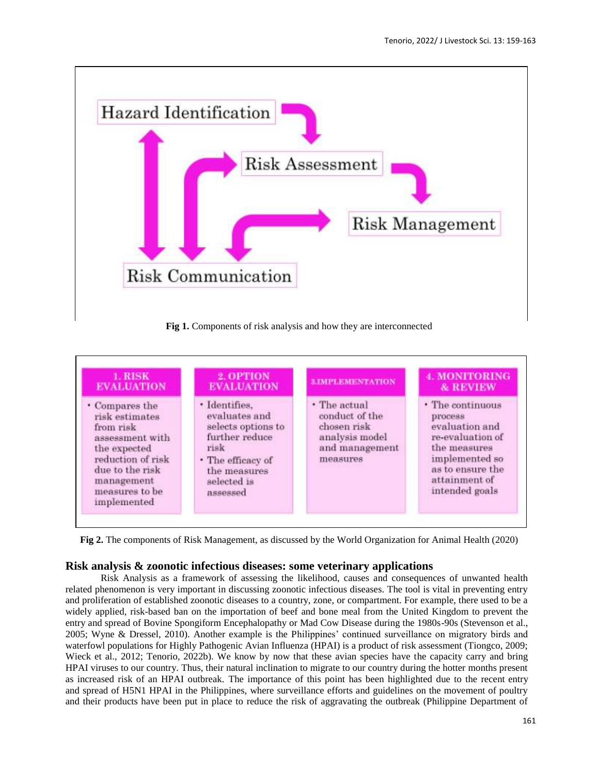

**Fig 1.** Components of risk analysis and how they are interconnected



**Fig 2.** The components of Risk Management, as discussed by the World Organization for Animal Health (2020)

#### **Risk analysis & zoonotic infectious diseases: some veterinary applications**

Risk Analysis as a framework of assessing the likelihood, causes and consequences of unwanted health related phenomenon is very important in discussing zoonotic infectious diseases. The tool is vital in preventing entry and proliferation of established zoonotic diseases to a country, zone, or compartment. For example, there used to be a widely applied, risk-based ban on the importation of beef and bone meal from the United Kingdom to prevent the entry and spread of Bovine Spongiform Encephalopathy or Mad Cow Disease during the 1980s-90s (Stevenson et al., 2005; Wyne & Dressel, 2010). Another example is the Philippines' continued surveillance on migratory birds and waterfowl populations for Highly Pathogenic Avian Influenza (HPAI) is a product of risk assessment (Tiongco, 2009; Wieck et al., 2012; Tenorio, 2022b). We know by now that these avian species have the capacity carry and bring HPAI viruses to our country. Thus, their natural inclination to migrate to our country during the hotter months present as increased risk of an HPAI outbreak. The importance of this point has been highlighted due to the recent entry and spread of H5N1 HPAI in the Philippines, where surveillance efforts and guidelines on the movement of poultry and their products have been put in place to reduce the risk of aggravating the outbreak (Philippine Department of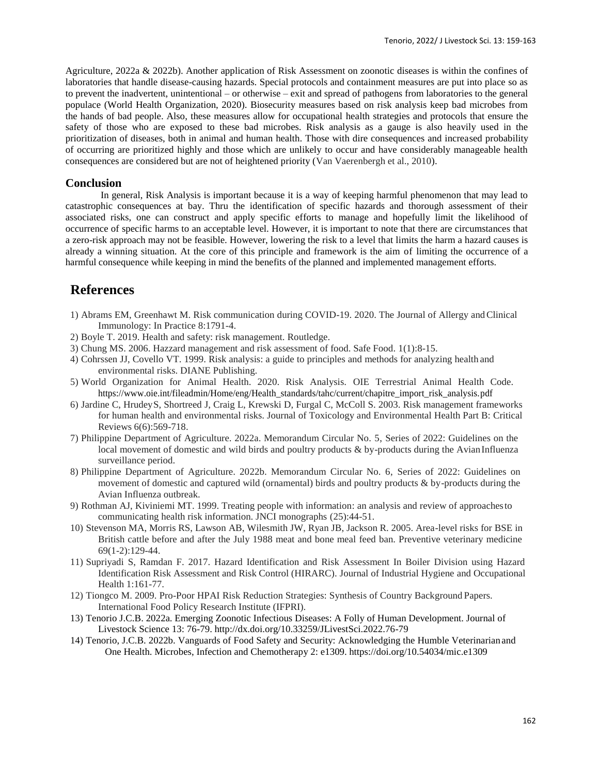Agriculture, 2022a & 2022b). Another application of Risk Assessment on zoonotic diseases is within the confines of laboratories that handle disease-causing hazards. Special protocols and containment measures are put into place so as to prevent the inadvertent, unintentional – or otherwise – exit and spread of pathogens from laboratories to the general populace (World Health Organization, 2020). Biosecurity measures based on risk analysis keep bad microbes from the hands of bad people. Also, these measures allow for occupational health strategies and protocols that ensure the safety of those who are exposed to these bad microbes. Risk analysis as a gauge is also heavily used in the prioritization of diseases, both in animal and human health. Those with dire consequences and increased probability of occurring are prioritized highly and those which are unlikely to occur and have considerably manageable health consequences are considered but are not of heightened priority (Van Vaerenbergh et al., 2010).

#### **Conclusion**

In general, Risk Analysis is important because it is a way of keeping harmful phenomenon that may lead to catastrophic consequences at bay. Thru the identification of specific hazards and thorough assessment of their associated risks, one can construct and apply specific efforts to manage and hopefully limit the likelihood of occurrence of specific harms to an acceptable level. However, it is important to note that there are circumstances that a zero-risk approach may not be feasible. However, lowering the risk to a level that limits the harm a hazard causes is already a winning situation. At the core of this principle and framework is the aim of limiting the occurrence of a harmful consequence while keeping in mind the benefits of the planned and implemented management efforts.

## **References**

- 1) Abrams EM, Greenhawt M. Risk communication during COVID-19. 2020. The Journal of Allergy andClinical Immunology: In Practice 8:1791-4.
- 2) Boyle T. 2019. Health and safety: risk management. Routledge.
- 3) Chung MS. 2006. Hazzard management and risk assessment of food. Safe Food. 1(1):8-15.
- 4) Cohrssen JJ, Covello VT. 1999. Risk analysis: a guide to principles and methods for analyzing health and environmental risks. DIANE Publishing.
- 5) World Organization for Animal Health. 2020. Risk Analysis. OIE Terrestrial Animal Health Code. https:[//www.oie.int/fileadmin/Home/eng/Health\\_standards/tahc/current/chapitre\\_import\\_risk\\_analysis.pdf](http://www.oie.int/fileadmin/Home/eng/Health_standards/tahc/current/chapitre_import_risk_analysis.pdf)
- 6) Jardine C, HrudeyS, Shortreed J, Craig L, Krewski D, Furgal C, McColl S. 2003. Risk management frameworks for human health and environmental risks. Journal of Toxicology and Environmental Health Part B: Critical Reviews 6(6):569-718.
- 7) Philippine Department of Agriculture. 2022a. Memorandum Circular No. 5, Series of 2022: Guidelines on the local movement of domestic and wild birds and poultry products & by-products during the Avian Influenza surveillance period.
- 8) Philippine Department of Agriculture. 2022b. Memorandum Circular No. 6, Series of 2022: Guidelines on movement of domestic and captured wild (ornamental) birds and poultry products & by-products during the Avian Influenza outbreak.
- 9) Rothman AJ, Kiviniemi MT. 1999. Treating people with information: an analysis and review of approachesto communicating health risk information. JNCI monographs (25):44-51.
- 10) Stevenson MA, Morris RS, Lawson AB, Wilesmith JW, Ryan JB, Jackson R. 2005. Area-level risks for BSE in British cattle before and after the July 1988 meat and bone meal feed ban. Preventive veterinary medicine 69(1-2):129-44.
- 11) Supriyadi S, Ramdan F. 2017. Hazard Identification and Risk Assessment In Boiler Division using Hazard Identification Risk Assessment and Risk Control (HIRARC). Journal of Industrial Hygiene and Occupational Health 1:161-77.
- 12) Tiongco M. 2009. Pro-Poor HPAI Risk Reduction Strategies: Synthesis of Country Background Papers. International Food Policy Research Institute (IFPRI).
- 13) Tenorio J.C.B. 2022a. Emerging Zoonotic Infectious Diseases: A Folly of Human Development. Journal of Livestock Science 13: 76-79. <http://dx.doi.org/10.33259/JLivestSci.2022.76-79>
- 14) Tenorio, J.C.B. 2022b. Vanguards of Food Safety and Security: Acknowledging the Humble Veterinarianand One Health. Microbes, Infection and Chemotherapy 2: e1309. https://doi.org/10.54034/mic.e1309